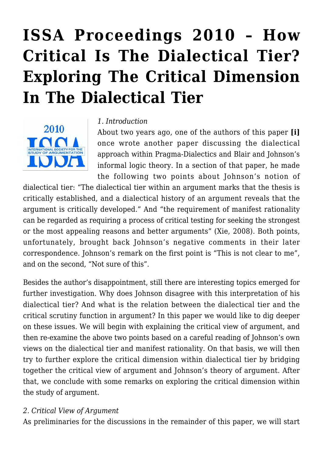# **[ISSA Proceedings 2010 – How](https://rozenbergquarterly.com/issa-proceedings-2010-how-critical-is-the-dialectical-tier-exploring-the-critical-dimension-in-the-dialectical-tier/) [Critical Is The Dialectical Tier?](https://rozenbergquarterly.com/issa-proceedings-2010-how-critical-is-the-dialectical-tier-exploring-the-critical-dimension-in-the-dialectical-tier/) [Exploring The Critical Dimension](https://rozenbergquarterly.com/issa-proceedings-2010-how-critical-is-the-dialectical-tier-exploring-the-critical-dimension-in-the-dialectical-tier/) [In The Dialectical Tier](https://rozenbergquarterly.com/issa-proceedings-2010-how-critical-is-the-dialectical-tier-exploring-the-critical-dimension-in-the-dialectical-tier/)**



#### *1. Introduction*

About two years ago, one of the authors of this paper **[i]** once wrote another paper discussing the dialectical approach within Pragma-Dialectics and Blair and Johnson's informal logic theory. In a section of that paper, he made the following two points about Johnson's notion of

dialectical tier: "The dialectical tier within an argument marks that the thesis is critically established, and a dialectical history of an argument reveals that the argument is critically developed." And "the requirement of manifest rationality can be regarded as requiring a process of critical testing for seeking the strongest or the most appealing reasons and better arguments" (Xie, 2008). Both points, unfortunately, brought back Johnson's negative comments in their later correspondence. Johnson's remark on the first point is "This is not clear to me", and on the second, "Not sure of this".

Besides the author's disappointment, still there are interesting topics emerged for further investigation. Why does Johnson disagree with this interpretation of his dialectical tier? And what is the relation between the dialectical tier and the critical scrutiny function in argument? In this paper we would like to dig deeper on these issues. We will begin with explaining the critical view of argument, and then re-examine the above two points based on a careful reading of Johnson's own views on the dialectical tier and manifest rationality. On that basis, we will then try to further explore the critical dimension within dialectical tier by bridging together the critical view of argument and Johnson's theory of argument. After that, we conclude with some remarks on exploring the critical dimension within the study of argument.

#### *2. Critical View of Argument*

As preliminaries for the discussions in the remainder of this paper, we will start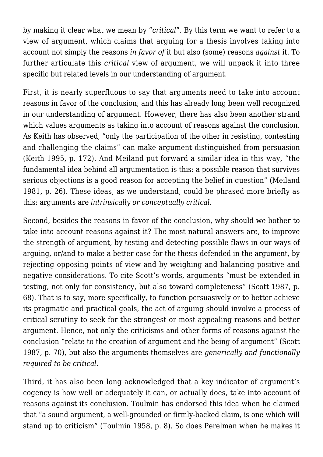by making it clear what we mean by "*critical*". By this term we want to refer to a view of argument, which claims that arguing for a thesis involves taking into account not simply the reasons *in favor of* it but also (some) reasons *against* it. To further articulate this *critical* view of argument, we will unpack it into three specific but related levels in our understanding of argument.

First, it is nearly superfluous to say that arguments need to take into account reasons in favor of the conclusion; and this has already long been well recognized in our understanding of argument. However, there has also been another strand which values arguments as taking into account of reasons against the conclusion. As Keith has observed, "only the participation of the other in resisting, contesting and challenging the claims" can make argument distinguished from persuasion (Keith 1995, p. 172). And Meiland put forward a similar idea in this way, "the fundamental idea behind all argumentation is this: a possible reason that survives serious objections is a good reason for accepting the belief in question" (Meiland 1981, p. 26). These ideas, as we understand, could be phrased more briefly as this: arguments are *intrinsically or conceptually critical*.

Second, besides the reasons in favor of the conclusion, why should we bother to take into account reasons against it? The most natural answers are, to improve the strength of argument, by testing and detecting possible flaws in our ways of arguing, or/and to make a better case for the thesis defended in the argument, by rejecting opposing points of view and by weighing and balancing positive and negative considerations. To cite Scott's words, arguments "must be extended in testing, not only for consistency, but also toward completeness" (Scott 1987, p. 68). That is to say, more specifically, to function persuasively or to better achieve its pragmatic and practical goals, the act of arguing should involve a process of critical scrutiny to seek for the strongest or most appealing reasons and better argument. Hence, not only the criticisms and other forms of reasons against the conclusion "relate to the creation of argument and the being of argument" (Scott 1987, p. 70), but also the arguments themselves are *generically and functionally required to be critical*.

Third, it has also been long acknowledged that a key indicator of argument's cogency is how well or adequately it can, or actually does, take into account of reasons against its conclusion. Toulmin has endorsed this idea when he claimed that "a sound argument, a well-grounded or firmly-backed claim, is one which will stand up to criticism" (Toulmin 1958, p. 8). So does Perelman when he makes it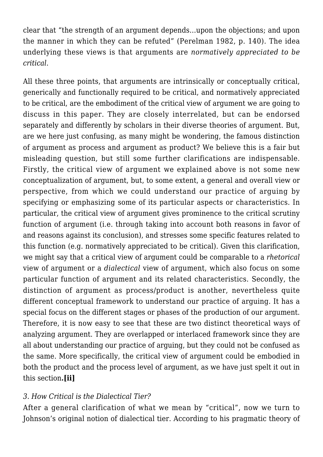clear that "the strength of an argument depends…upon the objections; and upon the manner in which they can be refuted" (Perelman 1982, p. 140). The idea underlying these views is that arguments are *normatively appreciated to be critical*.

All these three points, that arguments are intrinsically or conceptually critical, generically and functionally required to be critical, and normatively appreciated to be critical, are the embodiment of the critical view of argument we are going to discuss in this paper. They are closely interrelated, but can be endorsed separately and differently by scholars in their diverse theories of argument. But, are we here just confusing, as many might be wondering, the famous distinction of argument as process and argument as product? We believe this is a fair but misleading question, but still some further clarifications are indispensable. Firstly, the critical view of argument we explained above is not some new conceptualization of argument, but, to some extent, a general and overall view or perspective, from which we could understand our practice of arguing by specifying or emphasizing some of its particular aspects or characteristics. In particular, the critical view of argument gives prominence to the critical scrutiny function of argument (i.e. through taking into account both reasons in favor of and reasons against its conclusion), and stresses some specific features related to this function (e.g. normatively appreciated to be critical). Given this clarification, we might say that a critical view of argument could be comparable to a *rhetorical* view of argument or a *dialectical* view of argument, which also focus on some particular function of argument and its related characteristics. Secondly, the distinction of argument as process/product is another, nevertheless quite different conceptual framework to understand our practice of arguing. It has a special focus on the different stages or phases of the production of our argument. Therefore, it is now easy to see that these are two distinct theoretical ways of analyzing argument. They are overlapped or interlaced framework since they are all about understanding our practice of arguing, but they could not be confused as the same. More specifically, the critical view of argument could be embodied in both the product and the process level of argument, as we have just spelt it out in this section**.[ii]**

## *3. How Critical is the Dialectical Tier?*

After a general clarification of what we mean by "critical", now we turn to Johnson's original notion of dialectical tier. According to his pragmatic theory of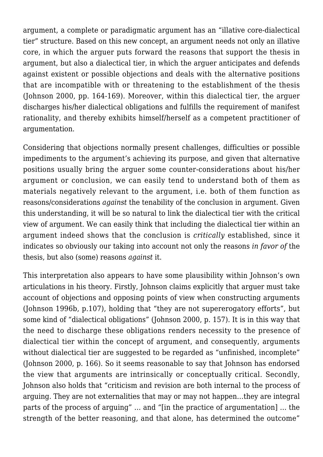argument, a complete or paradigmatic argument has an "illative core-dialectical tier" structure. Based on this new concept, an argument needs not only an illative core, in which the arguer puts forward the reasons that support the thesis in argument, but also a dialectical tier, in which the arguer anticipates and defends against existent or possible objections and deals with the alternative positions that are incompatible with or threatening to the establishment of the thesis (Johnson 2000, pp. 164-169). Moreover, within this dialectical tier, the arguer discharges his/her dialectical obligations and fulfills the requirement of manifest rationality, and thereby exhibits himself/herself as a competent practitioner of argumentation.

Considering that objections normally present challenges, difficulties or possible impediments to the argument's achieving its purpose, and given that alternative positions usually bring the arguer some counter-considerations about his/her argument or conclusion, we can easily tend to understand both of them as materials negatively relevant to the argument, i.e. both of them function as reasons/considerations *against* the tenability of the conclusion in argument. Given this understanding, it will be so natural to link the dialectical tier with the critical view of argument. We can easily think that including the dialectical tier within an argument indeed shows that the conclusion is *critically* established, since it indicates so obviously our taking into account not only the reasons *in favor of* the thesis, but also (some) reasons *against* it.

This interpretation also appears to have some plausibility within Johnson's own articulations in his theory. Firstly, Johnson claims explicitly that arguer must take account of objections and opposing points of view when constructing arguments (Johnson 1996b, p.107), holding that "they are not supererogatory efforts", but some kind of "dialectical obligations" (Johnson 2000, p. 157). It is in this way that the need to discharge these obligations renders necessity to the presence of dialectical tier within the concept of argument, and consequently, arguments without dialectical tier are suggested to be regarded as "unfinished, incomplete" (Johnson 2000, p. 166). So it seems reasonable to say that Johnson has endorsed the view that arguments are intrinsically or conceptually critical. Secondly, Johnson also holds that "criticism and revision are both internal to the process of arguing. They are not externalities that may or may not happen…they are integral parts of the process of arguing" … and "[in the practice of argumentation] … the strength of the better reasoning, and that alone, has determined the outcome"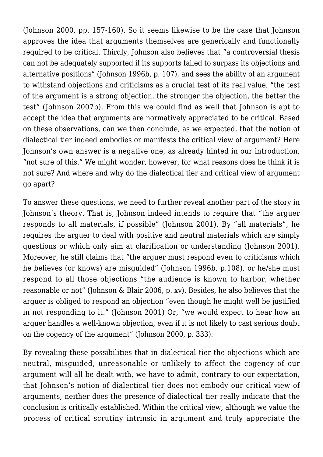(Johnson 2000, pp. 157-160). So it seems likewise to be the case that Johnson approves the idea that arguments themselves are generically and functionally required to be critical. Thirdly, Johnson also believes that "a controversial thesis can not be adequately supported if its supports failed to surpass its objections and alternative positions" (Johnson 1996b, p. 107), and sees the ability of an argument to withstand objections and criticisms as a crucial test of its real value, "the test of the argument is a strong objection, the stronger the objection, the better the test" (Johnson 2007b). From this we could find as well that Johnson is apt to accept the idea that arguments are normatively appreciated to be critical. Based on these observations, can we then conclude, as we expected, that the notion of dialectical tier indeed embodies or manifests the critical view of argument? Here Johnson's own answer is a negative one, as already hinted in our introduction, "not sure of this." We might wonder, however, for what reasons does he think it is not sure? And where and why do the dialectical tier and critical view of argument go apart?

To answer these questions, we need to further reveal another part of the story in Johnson's theory. That is, Johnson indeed intends to require that "the arguer responds to all materials, if possible" (Johnson 2001). By "all materials", he requires the arguer to deal with positive and neutral materials which are simply questions or which only aim at clarification or understanding (Johnson 2001). Moreover, he still claims that "the arguer must respond even to criticisms which he believes (or knows) are misguided" (Johnson 1996b, p.108), or he/she must respond to all those objections "the audience is known to harbor, whether reasonable or not" (Johnson & Blair 2006, p. xv). Besides, he also believes that the arguer is obliged to respond an objection "even though he might well be justified in not responding to it." (Johnson 2001) Or, "we would expect to hear how an arguer handles a well-known objection, even if it is not likely to cast serious doubt on the cogency of the argument" (Johnson 2000, p. 333).

By revealing these possibilities that in dialectical tier the objections which are neutral, misguided, unreasonable or unlikely to affect the cogency of our argument will all be dealt with, we have to admit, contrary to our expectation, that Johnson's notion of dialectical tier does not embody our critical view of arguments, neither does the presence of dialectical tier really indicate that the conclusion is critically established. Within the critical view, although we value the process of critical scrutiny intrinsic in argument and truly appreciate the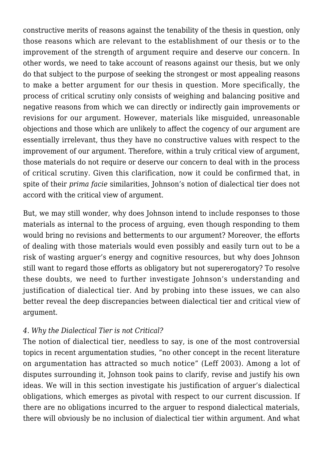constructive merits of reasons against the tenability of the thesis in question, only those reasons which are relevant to the establishment of our thesis or to the improvement of the strength of argument require and deserve our concern. In other words, we need to take account of reasons against our thesis, but we only do that subject to the purpose of seeking the strongest or most appealing reasons to make a better argument for our thesis in question. More specifically, the process of critical scrutiny only consists of weighing and balancing positive and negative reasons from which we can directly or indirectly gain improvements or revisions for our argument. However, materials like misguided, unreasonable objections and those which are unlikely to affect the cogency of our argument are essentially irrelevant, thus they have no constructive values with respect to the improvement of our argument. Therefore, within a truly critical view of argument, those materials do not require or deserve our concern to deal with in the process of critical scrutiny. Given this clarification, now it could be confirmed that, in spite of their *prima facie* similarities, Johnson's notion of dialectical tier does not accord with the critical view of argument.

But, we may still wonder, why does Johnson intend to include responses to those materials as internal to the process of arguing, even though responding to them would bring no revisions and betterments to our argument? Moreover, the efforts of dealing with those materials would even possibly and easily turn out to be a risk of wasting arguer's energy and cognitive resources, but why does Johnson still want to regard those efforts as obligatory but not supererogatory? To resolve these doubts, we need to further investigate Johnson's understanding and justification of dialectical tier. And by probing into these issues, we can also better reveal the deep discrepancies between dialectical tier and critical view of argument.

## *4. Why the Dialectical Tier is not Critical?*

The notion of dialectical tier, needless to say, is one of the most controversial topics in recent argumentation studies, "no other concept in the recent literature on argumentation has attracted so much notice" (Leff 2003). Among a lot of disputes surrounding it, Johnson took pains to clarify, revise and justify his own ideas. We will in this section investigate his justification of arguer's dialectical obligations, which emerges as pivotal with respect to our current discussion. If there are no obligations incurred to the arguer to respond dialectical materials, there will obviously be no inclusion of dialectical tier within argument. And what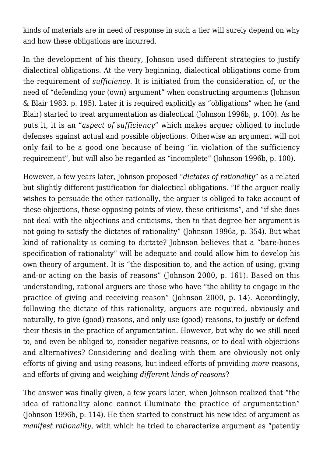kinds of materials are in need of response in such a tier will surely depend on why and how these obligations are incurred.

In the development of his theory, Johnson used different strategies to justify dialectical obligations. At the very beginning, dialectical obligations come from the requirement of *sufficiency*. It is initiated from the consideration of, or the need of "defending your (own) argument" when constructing arguments (Johnson & Blair 1983, p. 195). Later it is required explicitly as "obligations" when he (and Blair) started to treat argumentation as dialectical (Johnson 1996b, p. 100). As he puts it, it is an "*aspect of sufficiency*" which makes arguer obliged to include defenses against actual and possible objections. Otherwise an argument will not only fail to be a good one because of being "in violation of the sufficiency requirement", but will also be regarded as "incomplete" (Johnson 1996b, p. 100).

However, a few years later, Johnson proposed "*dictates of rationality*" as a related but slightly different justification for dialectical obligations. "If the arguer really wishes to persuade the other rationally, the arguer is obliged to take account of these objections, these opposing points of view, these criticisms", and "if she does not deal with the objections and criticisms, then to that degree her argument is not going to satisfy the dictates of rationality" (Johnson 1996a, p. 354). But what kind of rationality is coming to dictate? Johnson believes that a "bare-bones specification of rationality" will be adequate and could allow him to develop his own theory of argument. It is "the disposition to, and the action of using, giving and-or acting on the basis of reasons" (Johnson 2000, p. 161). Based on this understanding, rational arguers are those who have "the ability to engage in the practice of giving and receiving reason" (Johnson 2000, p. 14). Accordingly, following the dictate of this rationality, arguers are required, obviously and naturally, to give (good) reasons, and only use (good) reasons, to justify or defend their thesis in the practice of argumentation. However, but why do we still need to, and even be obliged to, consider negative reasons, or to deal with objections and alternatives? Considering and dealing with them are obviously not only efforts of giving and using reasons, but indeed efforts of providing *more* reasons, and efforts of giving and weighing *different kinds of reasons*?

The answer was finally given, a few years later, when Johnson realized that "the idea of rationality alone cannot illuminate the practice of argumentation" (Johnson 1996b, p. 114). He then started to construct his new idea of argument as *manifest rationality*, with which he tried to characterize argument as "patently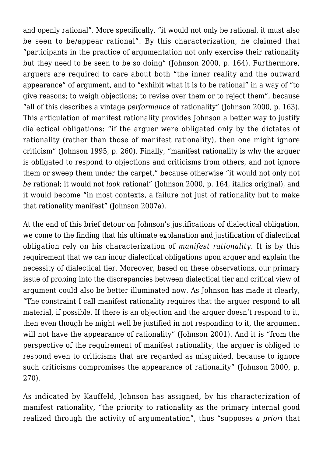and openly rational". More specifically, "it would not only be rational, it must also be seen to be/appear rational". By this characterization, he claimed that "participants in the practice of argumentation not only exercise their rationality but they need to be seen to be so doing" (Johnson 2000, p. 164). Furthermore, arguers are required to care about both "the inner reality and the outward appearance" of argument, and to "exhibit what it is to be rational" in a way of "to give reasons; to weigh objections; to revise over them or to reject them", because "all of this describes a vintage *performance* of rationality" (Johnson 2000, p. 163). This articulation of manifest rationality provides Johnson a better way to justify dialectical obligations: "if the arguer were obligated only by the dictates of rationality (rather than those of manifest rationality), then one might ignore criticism" (Johnson 1995, p. 260). Finally, "manifest rationality is why the arguer is obligated to respond to objections and criticisms from others, and not ignore them or sweep them under the carpet," because otherwise "it would not only not *be* rational; it would not *look* rational" (Johnson 2000, p. 164, italics original), and it would become "in most contexts, a failure not just of rationality but to make that rationality manifest" (Johnson 2007a).

At the end of this brief detour on Johnson's justifications of dialectical obligation, we come to the finding that his ultimate explanation and justification of dialectical obligation rely on his characterization of *manifest rationality*. It is by this requirement that we can incur dialectical obligations upon arguer and explain the necessity of dialectical tier. Moreover, based on these observations, our primary issue of probing into the discrepancies between dialectical tier and critical view of argument could also be better illuminated now. As Johnson has made it clearly, "The constraint I call manifest rationality requires that the arguer respond to all material, if possible. If there is an objection and the arguer doesn't respond to it, then even though he might well be justified in not responding to it, the argument will not have the appearance of rationality" (Johnson 2001). And it is "from the perspective of the requirement of manifest rationality, the arguer is obliged to respond even to criticisms that are regarded as misguided, because to ignore such criticisms compromises the appearance of rationality" (Johnson 2000, p. 270).

As indicated by Kauffeld, Johnson has assigned, by his characterization of manifest rationality, "the priority to rationality as the primary internal good realized through the activity of argumentation", thus "supposes *a priori* that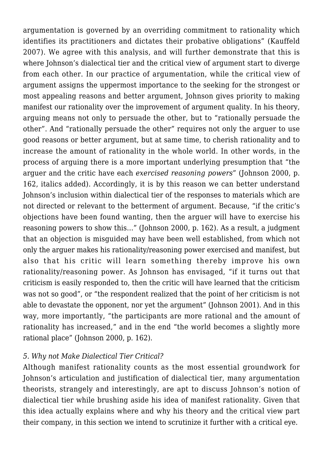argumentation is governed by an overriding commitment to rationality which identifies its practitioners and dictates their probative obligations" (Kauffeld 2007). We agree with this analysis, and will further demonstrate that this is where Johnson's dialectical tier and the critical view of argument start to diverge from each other. In our practice of argumentation, while the critical view of argument assigns the uppermost importance to the seeking for the strongest or most appealing reasons and better argument, Johnson gives priority to making manifest our rationality over the improvement of argument quality. In his theory, arguing means not only to persuade the other, but to "rationally persuade the other". And "rationally persuade the other" requires not only the arguer to use good reasons or better argument, but at same time, to cherish rationality and to increase the amount of rationality in the whole world. In other words, in the process of arguing there is a more important underlying presumption that "the arguer and the critic have each *exercised reasoning powers*" (Johnson 2000, p. 162, italics added). Accordingly, it is by this reason we can better understand Johnson's inclusion within dialectical tier of the responses to materials which are not directed or relevant to the betterment of argument. Because, "if the critic's objections have been found wanting, then the arguer will have to exercise his reasoning powers to show this…" (Johnson 2000, p. 162). As a result, a judgment that an objection is misguided may have been well established, from which not only the arguer makes his rationality/reasoning power exercised and manifest, but also that his critic will learn something thereby improve his own rationality/reasoning power. As Johnson has envisaged, "if it turns out that criticism is easily responded to, then the critic will have learned that the criticism was not so good", or "the respondent realized that the point of her criticism is not able to devastate the opponent, nor yet the argument" (Johnson 2001). And in this way, more importantly, "the participants are more rational and the amount of rationality has increased," and in the end "the world becomes a slightly more rational place" (Johnson 2000, p. 162).

#### *5. Why not Make Dialectical Tier Critical?*

Although manifest rationality counts as the most essential groundwork for Johnson's articulation and justification of dialectical tier, many argumentation theorists, strangely and interestingly, are apt to discuss Johnson's notion of dialectical tier while brushing aside his idea of manifest rationality. Given that this idea actually explains where and why his theory and the critical view part their company, in this section we intend to scrutinize it further with a critical eye.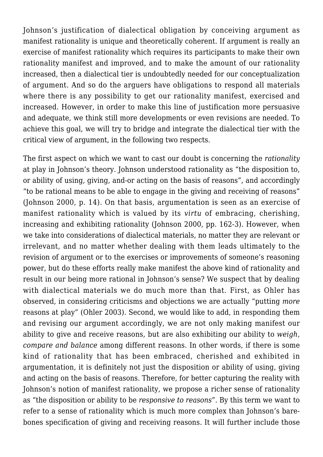Johnson's justification of dialectical obligation by conceiving argument as manifest rationality is unique and theoretically coherent. If argument is really an exercise of manifest rationality which requires its participants to make their own rationality manifest and improved, and to make the amount of our rationality increased, then a dialectical tier is undoubtedly needed for our conceptualization of argument. And so do the arguers have obligations to respond all materials where there is any possibility to get our rationality manifest, exercised and increased. However, in order to make this line of justification more persuasive and adequate, we think still more developments or even revisions are needed. To achieve this goal, we will try to bridge and integrate the dialectical tier with the critical view of argument, in the following two respects.

The first aspect on which we want to cast our doubt is concerning the *rationality* at play in Johnson's theory. Johnson understood rationality as "the disposition to, or ability of using, giving, and-or acting on the basis of reasons", and accordingly "to be rational means to be able to engage in the giving and receiving of reasons" (Johnson 2000, p. 14). On that basis, argumentation is seen as an exercise of manifest rationality which is valued by its *virtu* of embracing, cherishing, increasing and exhibiting rationality (Johnson 2000, pp. 162-3). However, when we take into considerations of dialectical materials, no matter they are relevant or irrelevant, and no matter whether dealing with them leads ultimately to the revision of argument or to the exercises or improvements of someone's reasoning power, but do these efforts really make manifest the above kind of rationality and result in our being more rational in Johnson's sense? We suspect that by dealing with dialectical materials we do much more than that. First, as Ohler has observed, in considering criticisms and objections we are actually "putting *more* reasons at play" (Ohler 2003). Second, we would like to add, in responding them and revising our argument accordingly, we are not only making manifest our ability to give and receive reasons, but are also exhibiting our ability to *weigh, compare and balance* among different reasons. In other words, if there is some kind of rationality that has been embraced, cherished and exhibited in argumentation, it is definitely not just the disposition or ability of using, giving and acting on the basis of reasons. Therefore, for better capturing the reality with Johnson's notion of manifest rationality, we propose a richer sense of rationality as "the disposition or ability to be *responsive to reasons*". By this term we want to refer to a sense of rationality which is much more complex than Johnson's barebones specification of giving and receiving reasons. It will further include those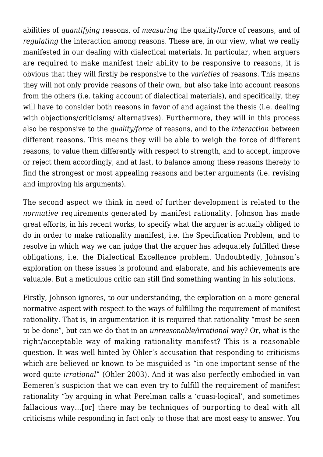abilities of *quantifying* reasons, of *measuring* the quality/force of reasons, and of *regulating* the interaction among reasons. These are, in our view, what we really manifested in our dealing with dialectical materials. In particular, when arguers are required to make manifest their ability to be responsive to reasons, it is obvious that they will firstly be responsive to the *varieties* of reasons. This means they will not only provide reasons of their own, but also take into account reasons from the others (i.e. taking account of dialectical materials), and specifically, they will have to consider both reasons in favor of and against the thesis (i.e. dealing with objections/criticisms/ alternatives). Furthermore, they will in this process also be responsive to the *quality/force* of reasons, and to the *interaction* between different reasons. This means they will be able to weigh the force of different reasons, to value them differently with respect to strength, and to accept, improve or reject them accordingly, and at last, to balance among these reasons thereby to find the strongest or most appealing reasons and better arguments (i.e. revising and improving his arguments).

The second aspect we think in need of further development is related to the *normative* requirements generated by manifest rationality. Johnson has made great efforts, in his recent works, to specify what the arguer is actually obliged to do in order to make rationality manifest, i.e. the Specification Problem, and to resolve in which way we can judge that the arguer has adequately fulfilled these obligations, i.e. the Dialectical Excellence problem. Undoubtedly, Johnson's exploration on these issues is profound and elaborate, and his achievements are valuable. But a meticulous critic can still find something wanting in his solutions.

Firstly, Johnson ignores, to our understanding, the exploration on a more general normative aspect with respect to the ways of fulfilling the requirement of manifest rationality. That is, in argumentation it is required that rationality "must be seen to be done", but can we do that in an *unreasonable/irrational* way? Or, what is the right/acceptable way of making rationality manifest? This is a reasonable question. It was well hinted by Ohler's accusation that responding to criticisms which are believed or known to be misguided is "in one important sense of the word quite *irrational*" (Ohler 2003). And it was also perfectly embodied in van Eemeren's suspicion that we can even try to fulfill the requirement of manifest rationality "by arguing in what Perelman calls a 'quasi-logical', and sometimes fallacious way…[or] there may be techniques of purporting to deal with all criticisms while responding in fact only to those that are most easy to answer. You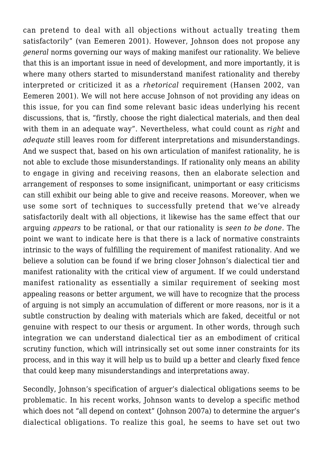can pretend to deal with all objections without actually treating them satisfactorily" (van Eemeren 2001). However, Johnson does not propose any *general* norms governing our ways of making manifest our rationality. We believe that this is an important issue in need of development, and more importantly, it is where many others started to misunderstand manifest rationality and thereby interpreted or criticized it as a *rhetorical* requirement (Hansen 2002, van Eemeren 2001). We will not here accuse Johnson of not providing any ideas on this issue, for you can find some relevant basic ideas underlying his recent discussions, that is, "firstly, choose the right dialectical materials, and then deal with them in an adequate way". Nevertheless, what could count as *right* and *adequate* still leaves room for different interpretations and misunderstandings. And we suspect that, based on his own articulation of manifest rationality, he is not able to exclude those misunderstandings. If rationality only means an ability to engage in giving and receiving reasons, then an elaborate selection and arrangement of responses to some insignificant, unimportant or easy criticisms can still exhibit our being able to give and receive reasons. Moreover, when we use some sort of techniques to successfully pretend that we've already satisfactorily dealt with all objections, it likewise has the same effect that our arguing *appears* to be rational, or that our rationality is *seen to be done*. The point we want to indicate here is that there is a lack of normative constraints intrinsic to the ways of fulfilling the requirement of manifest rationality. And we believe a solution can be found if we bring closer Johnson's dialectical tier and manifest rationality with the critical view of argument. If we could understand manifest rationality as essentially a similar requirement of seeking most appealing reasons or better argument, we will have to recognize that the process of arguing is not simply an accumulation of different or more reasons, nor is it a subtle construction by dealing with materials which are faked, deceitful or not genuine with respect to our thesis or argument. In other words, through such integration we can understand dialectical tier as an embodiment of critical scrutiny function, which will intrinsically set out some inner constraints for its process, and in this way it will help us to build up a better and clearly fixed fence that could keep many misunderstandings and interpretations away.

Secondly, Johnson's specification of arguer's dialectical obligations seems to be problematic. In his recent works, Johnson wants to develop a specific method which does not "all depend on context" (Johnson 2007a) to determine the arguer's dialectical obligations. To realize this goal, he seems to have set out two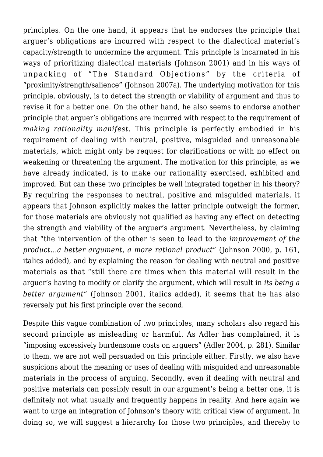principles. On the one hand, it appears that he endorses the principle that arguer's obligations are incurred with respect to the dialectical material's capacity/strength to undermine the argument. This principle is incarnated in his ways of prioritizing dialectical materials (Johnson 2001) and in his ways of unpacking of "The Standard Objections" by the criteria of "proximity/strength/salience" (Johnson 2007a). The underlying motivation for this principle, obviously, is to detect the strength or viability of argument and thus to revise it for a better one. On the other hand, he also seems to endorse another principle that arguer's obligations are incurred with respect to the requirement of *making rationality manifest*. This principle is perfectly embodied in his requirement of dealing with neutral, positive, misguided and unreasonable materials, which might only be request for clarifications or with no effect on weakening or threatening the argument. The motivation for this principle, as we have already indicated, is to make our rationality exercised, exhibited and improved. But can these two principles be well integrated together in his theory? By requiring the responses to neutral, positive and misguided materials, it appears that Johnson explicitly makes the latter principle outweigh the former, for those materials are obviously not qualified as having any effect on detecting the strength and viability of the arguer's argument. Nevertheless, by claiming that "the intervention of the other is seen to lead to the *improvement of the product…a better argument, a more rational product*" (Johnson 2000, p. 161, italics added), and by explaining the reason for dealing with neutral and positive materials as that "still there are times when this material will result in the arguer's having to modify or clarify the argument, which will result in *its being a better argument*" (Johnson 2001, italics added), it seems that he has also reversely put his first principle over the second.

Despite this vague combination of two principles, many scholars also regard his second principle as misleading or harmful. As Adler has complained, it is "imposing excessively burdensome costs on arguers" (Adler 2004, p. 281). Similar to them, we are not well persuaded on this principle either. Firstly, we also have suspicions about the meaning or uses of dealing with misguided and unreasonable materials in the process of arguing. Secondly, even if dealing with neutral and positive materials can possibly result in our argument's being a better one, it is definitely not what usually and frequently happens in reality. And here again we want to urge an integration of Johnson's theory with critical view of argument. In doing so, we will suggest a hierarchy for those two principles, and thereby to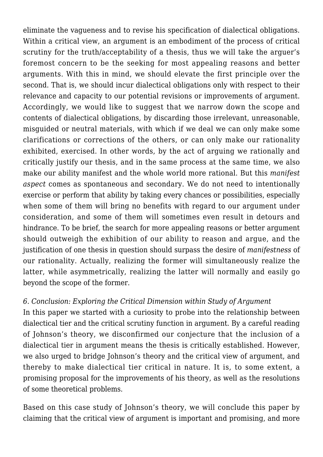eliminate the vagueness and to revise his specification of dialectical obligations. Within a critical view, an argument is an embodiment of the process of critical scrutiny for the truth/acceptability of a thesis, thus we will take the arguer's foremost concern to be the seeking for most appealing reasons and better arguments. With this in mind, we should elevate the first principle over the second. That is, we should incur dialectical obligations only with respect to their relevance and capacity to our potential revisions or improvements of argument. Accordingly, we would like to suggest that we narrow down the scope and contents of dialectical obligations, by discarding those irrelevant, unreasonable, misguided or neutral materials, with which if we deal we can only make some clarifications or corrections of the others, or can only make our rationality exhibited, exercised. In other words, by the act of arguing we rationally and critically justify our thesis, and in the same process at the same time, we also make our ability manifest and the whole world more rational. But this *manifest aspect* comes as spontaneous and secondary. We do not need to intentionally exercise or perform that ability by taking every chances or possibilities, especially when some of them will bring no benefits with regard to our argument under consideration, and some of them will sometimes even result in detours and hindrance. To be brief, the search for more appealing reasons or better argument should outweigh the exhibition of our ability to reason and argue, and the justification of one thesis in question should surpass the desire of *manifestness* of our rationality. Actually, realizing the former will simultaneously realize the latter, while asymmetrically, realizing the latter will normally and easily go beyond the scope of the former.

## *6. Conclusion: Exploring the Critical Dimension within Study of Argument*

In this paper we started with a curiosity to probe into the relationship between dialectical tier and the critical scrutiny function in argument. By a careful reading of Johnson's theory, we disconfirmed our conjecture that the inclusion of a dialectical tier in argument means the thesis is critically established. However, we also urged to bridge Johnson's theory and the critical view of argument, and thereby to make dialectical tier critical in nature. It is, to some extent, a promising proposal for the improvements of his theory, as well as the resolutions of some theoretical problems.

Based on this case study of Johnson's theory, we will conclude this paper by claiming that the critical view of argument is important and promising, and more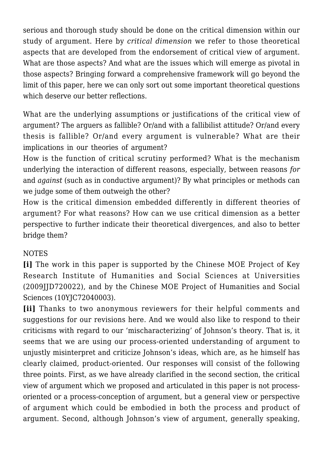serious and thorough study should be done on the critical dimension within our study of argument. Here by *critical dimension* we refer to those theoretical aspects that are developed from the endorsement of critical view of argument. What are those aspects? And what are the issues which will emerge as pivotal in those aspects? Bringing forward a comprehensive framework will go beyond the limit of this paper, here we can only sort out some important theoretical questions which deserve our better reflections.

What are the underlying assumptions or justifications of the critical view of argument? The arguers as fallible? Or/and with a fallibilist attitude? Or/and every thesis is fallible? Or/and every argument is vulnerable? What are their implications in our theories of argument?

How is the function of critical scrutiny performed? What is the mechanism underlying the interaction of different reasons, especially, between reasons *for* and *against* (such as in conductive argument)? By what principles or methods can we judge some of them outweigh the other?

How is the critical dimension embedded differently in different theories of argument? For what reasons? How can we use critical dimension as a better perspective to further indicate their theoretical divergences, and also to better bridge them?

## **NOTES**

**[i]** The work in this paper is supported by the Chinese MOE Project of Key Research Institute of Humanities and Social Sciences at Universities (2009JJD720022), and by the Chinese MOE Project of Humanities and Social Sciences (10YJC72040003).

**[ii]** Thanks to two anonymous reviewers for their helpful comments and suggestions for our revisions here. And we would also like to respond to their criticisms with regard to our 'mischaracterizing' of Johnson's theory. That is, it seems that we are using our process-oriented understanding of argument to unjustly misinterpret and criticize Johnson's ideas, which are, as he himself has clearly claimed, product-oriented. Our responses will consist of the following three points. First, as we have already clarified in the second section, the critical view of argument which we proposed and articulated in this paper is not processoriented or a process-conception of argument, but a general view or perspective of argument which could be embodied in both the process and product of argument. Second, although Johnson's view of argument, generally speaking,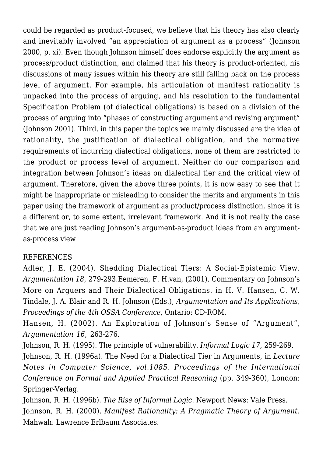could be regarded as product-focused, we believe that his theory has also clearly and inevitably involved "an appreciation of argument as a process" (Johnson 2000, p. xi). Even though Johnson himself does endorse explicitly the argument as process/product distinction, and claimed that his theory is product-oriented, his discussions of many issues within his theory are still falling back on the process level of argument. For example, his articulation of manifest rationality is unpacked into the process of arguing, and his resolution to the fundamental Specification Problem (of dialectical obligations) is based on a division of the process of arguing into "phases of constructing argument and revising argument" (Johnson 2001). Third, in this paper the topics we mainly discussed are the idea of rationality, the justification of dialectical obligation, and the normative requirements of incurring dialectical obligations, none of them are restricted to the product or process level of argument. Neither do our comparison and integration between Johnson's ideas on dialectical tier and the critical view of argument. Therefore, given the above three points, it is now easy to see that it might be inappropriate or misleading to consider the merits and arguments in this paper using the framework of argument as product/process distinction, since it is a different or, to some extent, irrelevant framework. And it is not really the case that we are just reading Johnson's argument-as-product ideas from an argumentas-process view

#### REFERENCES

Adler, J. E. (2004). Shedding Dialectical Tiers: A Social-Epistemic View. *Argumentation 18*, 279-293.Eemeren, F. H.van, (2001). Commentary on Johnson's More on Arguers and Their Dialectical Obligations. in H. V. Hansen, C. W. Tindale, J. A. Blair and R. H. Johnson (Eds.), *Argumentation and Its Applications, Proceedings of the 4th OSSA Conference*, Ontario: CD-ROM.

Hansen, H. (2002). An Exploration of Johnson's Sense of "Argument", *Argumentation 16*, 263-276.

Johnson, R. H. (1995). The principle of vulnerability. *Informal Logic 17*, 259-269.

Johnson, R. H. (1996a). The Need for a Dialectical Tier in Arguments, in *Lecture Notes in Computer Science, vol.1085. Proceedings of the International Conference on Formal and Applied Practical Reasoning* (pp. 349-360), London: Springer-Verlag.

Johnson, R. H. (1996b). *The Rise of Informal Logic*. Newport News: Vale Press. Johnson, R. H. (2000). *Manifest Rationality: A Pragmatic Theory of Argument*. Mahwah: Lawrence Erlbaum Associates.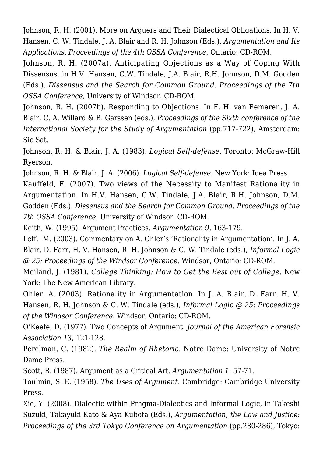Johnson, R. H. (2001). More on Arguers and Their Dialectical Obligations. In H. V. Hansen, C. W. Tindale, J. A. Blair and R. H. Johnson (Eds.), *Argumentation and Its Applications, Proceedings of the 4th OSSA Conference*, Ontario: CD-ROM.

Johnson, R. H. (2007a). Anticipating Objections as a Way of Coping With Dissensus, in H.V. Hansen, C.W. Tindale, J.A. Blair, R.H. Johnson, D.M. Godden (Eds.). *Dissensus and the Search for Common Ground. Proceedings of the 7th OSSA Conference*, University of Windsor. CD-ROM.

Johnson, R. H. (2007b). Responding to Objections. In F. H. van Eemeren, J. A. Blair, C. A. Willard & B. Garssen (eds.), *Proceedings of the Sixth conference of the International Society for the Study of Argumentation* (pp.717-722), Amsterdam: Sic Sat.

Johnson, R. H. & Blair, J. A. (1983). *Logical Self-defense*, Toronto: McGraw-Hill Ryerson.

Johnson, R. H. & Blair, J. A. (2006). *Logical Self-defense*. New York: Idea Press.

Kauffeld, F. (2007). Two views of the Necessity to Manifest Rationality in Argumentation. In H.V. Hansen, C.W. Tindale, J.A. Blair, R.H. Johnson, D.M. Godden (Eds.). *Dissensus and the Search for Common Ground. Proceedings of the 7th OSSA Conference*, University of Windsor. CD-ROM.

Keith, W. (1995). Argument Practices. *Argumentation 9*, 163-179.

Leff, M. (2003). Commentary on A. Ohler's 'Rationality in Argumentation'. In J. A. Blair, D. Farr, H. V. Hansen, R. H. Johnson & C. W. Tindale (eds.), *Informal Logic @ 25: Proceedings of the Windsor Conference*. Windsor, Ontario: CD-ROM.

Meiland, J. (1981). *College Thinking: How to Get the Best out of College*. New York: The New American Library.

Ohler, A. (2003). Rationality in Argumentation. In J. A. Blair, D. Farr, H. V. Hansen, R. H. Johnson & C. W. Tindale (eds.), *Informal Logic @ 25: Proceedings of the Windsor Conference*. Windsor, Ontario: CD-ROM.

O'Keefe, D. (1977). Two Concepts of Argument. *Journal of the American Forensic Association 13*, 121-128.

Perelman, C. (1982). *The Realm of Rhetoric*. Notre Dame: University of Notre Dame Press.

Scott, R. (1987). Argument as a Critical Art. *Argumentation 1*, 57-71.

Toulmin, S. E. (1958). *The Uses of Argument*. Cambridge: Cambridge University Press.

Xie, Y. (2008). Dialectic within Pragma-Dialectics and Informal Logic, in Takeshi Suzuki, Takayuki Kato & Aya Kubota (Eds.), *Argumentation, the Law and Justice: Proceedings of the 3rd Tokyo Conference on Argumentation* (pp.280-286), Tokyo: